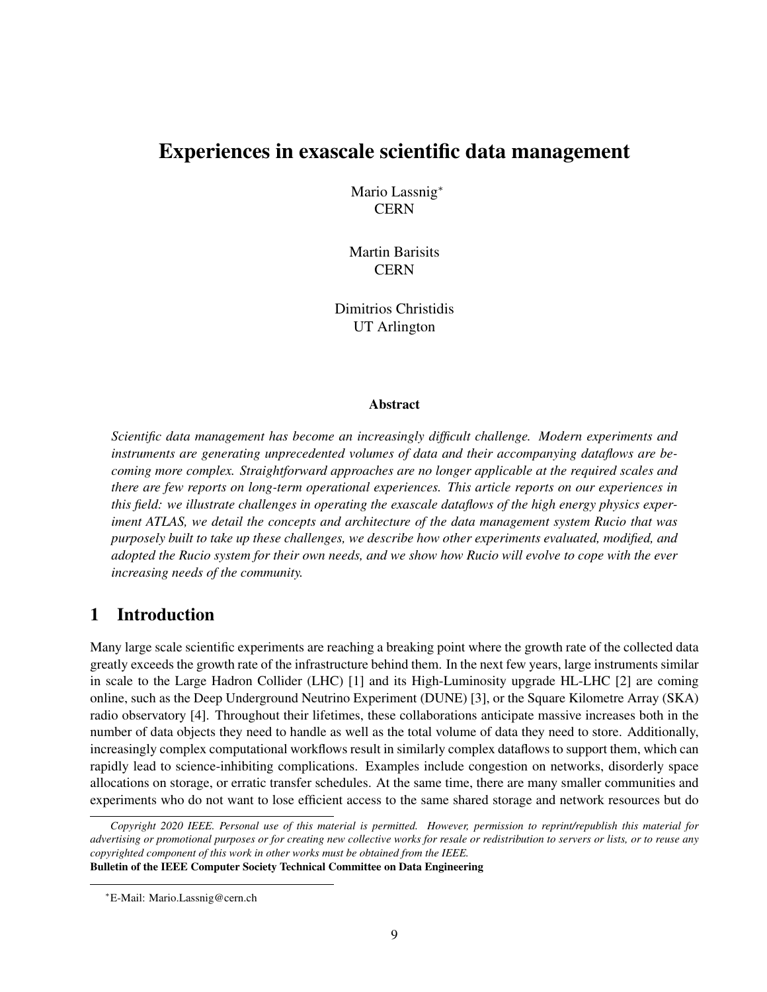# Experiences in exascale scientific data management

Mario Lassnig<sup>∗</sup> **CERN** 

Martin Barisits **CERN** 

Dimitrios Christidis UT Arlington

#### Abstract

*Scientific data management has become an increasingly difficult challenge. Modern experiments and instruments are generating unprecedented volumes of data and their accompanying dataflows are becoming more complex. Straightforward approaches are no longer applicable at the required scales and there are few reports on long-term operational experiences. This article reports on our experiences in this field: we illustrate challenges in operating the exascale dataflows of the high energy physics experiment ATLAS, we detail the concepts and architecture of the data management system Rucio that was purposely built to take up these challenges, we describe how other experiments evaluated, modified, and adopted the Rucio system for their own needs, and we show how Rucio will evolve to cope with the ever increasing needs of the community.*

### 1 Introduction

Many large scale scientific experiments are reaching a breaking point where the growth rate of the collected data greatly exceeds the growth rate of the infrastructure behind them. In the next few years, large instruments similar in scale to the Large Hadron Collider (LHC) [1] and its High-Luminosity upgrade HL-LHC [2] are coming online, such as the Deep Underground Neutrino Experiment (DUNE) [3], or the Square Kilometre Array (SKA) radio observatory [4]. Throughout their lifetimes, these collaborations anticipate massive increases both in the number of data objects they need to handle as well as the total volume of data they need to store. Additionally, increasingly complex computational workflows result in similarly complex dataflows to support them, which can rapidly lead to science-inhibiting complications. Examples include congestion on networks, disorderly space allocations on storage, or erratic transfer schedules. At the same time, there are many smaller communities and experiments who do not want to lose efficient access to the same shared storage and network resources but do

*Copyright 2020 IEEE. Personal use of this material is permitted. However, permission to reprint/republish this material for advertising or promotional purposes or for creating new collective works for resale or redistribution to servers or lists, or to reuse any copyrighted component of this work in other works must be obtained from the IEEE.* Bulletin of the IEEE Computer Society Technical Committee on Data Engineering

<sup>∗</sup>E-Mail: Mario.Lassnig@cern.ch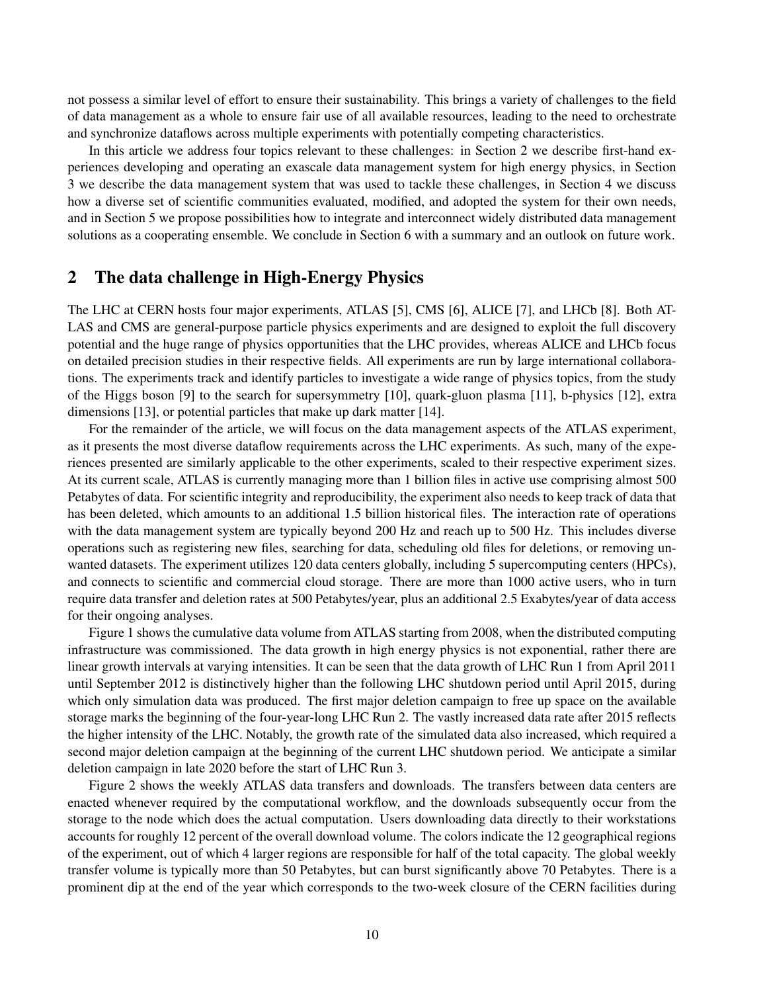not possess a similar level of effort to ensure their sustainability. This brings a variety of challenges to the field of data management as a whole to ensure fair use of all available resources, leading to the need to orchestrate and synchronize dataflows across multiple experiments with potentially competing characteristics.

In this article we address four topics relevant to these challenges: in Section 2 we describe first-hand experiences developing and operating an exascale data management system for high energy physics, in Section 3 we describe the data management system that was used to tackle these challenges, in Section 4 we discuss how a diverse set of scientific communities evaluated, modified, and adopted the system for their own needs, and in Section 5 we propose possibilities how to integrate and interconnect widely distributed data management solutions as a cooperating ensemble. We conclude in Section 6 with a summary and an outlook on future work.

### 2 The data challenge in High-Energy Physics

The LHC at CERN hosts four major experiments, ATLAS [5], CMS [6], ALICE [7], and LHCb [8]. Both AT-LAS and CMS are general-purpose particle physics experiments and are designed to exploit the full discovery potential and the huge range of physics opportunities that the LHC provides, whereas ALICE and LHCb focus on detailed precision studies in their respective fields. All experiments are run by large international collaborations. The experiments track and identify particles to investigate a wide range of physics topics, from the study of the Higgs boson [9] to the search for supersymmetry [10], quark-gluon plasma [11], b-physics [12], extra dimensions [13], or potential particles that make up dark matter [14].

For the remainder of the article, we will focus on the data management aspects of the ATLAS experiment, as it presents the most diverse dataflow requirements across the LHC experiments. As such, many of the experiences presented are similarly applicable to the other experiments, scaled to their respective experiment sizes. At its current scale, ATLAS is currently managing more than 1 billion files in active use comprising almost 500 Petabytes of data. For scientific integrity and reproducibility, the experiment also needs to keep track of data that has been deleted, which amounts to an additional 1.5 billion historical files. The interaction rate of operations with the data management system are typically beyond 200 Hz and reach up to 500 Hz. This includes diverse operations such as registering new files, searching for data, scheduling old files for deletions, or removing unwanted datasets. The experiment utilizes 120 data centers globally, including 5 supercomputing centers (HPCs), and connects to scientific and commercial cloud storage. There are more than 1000 active users, who in turn require data transfer and deletion rates at 500 Petabytes/year, plus an additional 2.5 Exabytes/year of data access for their ongoing analyses.

Figure 1 shows the cumulative data volume from ATLAS starting from 2008, when the distributed computing infrastructure was commissioned. The data growth in high energy physics is not exponential, rather there are linear growth intervals at varying intensities. It can be seen that the data growth of LHC Run 1 from April 2011 until September 2012 is distinctively higher than the following LHC shutdown period until April 2015, during which only simulation data was produced. The first major deletion campaign to free up space on the available storage marks the beginning of the four-year-long LHC Run 2. The vastly increased data rate after 2015 reflects the higher intensity of the LHC. Notably, the growth rate of the simulated data also increased, which required a second major deletion campaign at the beginning of the current LHC shutdown period. We anticipate a similar deletion campaign in late 2020 before the start of LHC Run 3.

Figure 2 shows the weekly ATLAS data transfers and downloads. The transfers between data centers are enacted whenever required by the computational workflow, and the downloads subsequently occur from the storage to the node which does the actual computation. Users downloading data directly to their workstations accounts for roughly 12 percent of the overall download volume. The colors indicate the 12 geographical regions of the experiment, out of which 4 larger regions are responsible for half of the total capacity. The global weekly transfer volume is typically more than 50 Petabytes, but can burst significantly above 70 Petabytes. There is a prominent dip at the end of the year which corresponds to the two-week closure of the CERN facilities during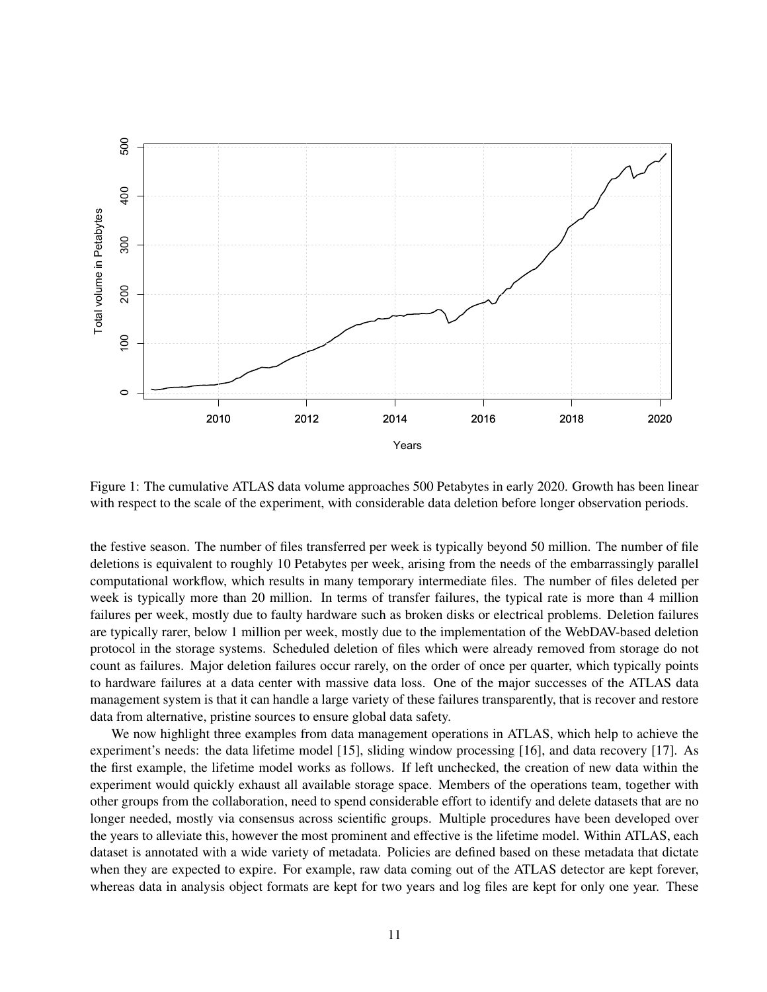

Figure 1: The cumulative ATLAS data volume approaches 500 Petabytes in early 2020. Growth has been linear with respect to the scale of the experiment, with considerable data deletion before longer observation periods.

the festive season. The number of files transferred per week is typically beyond 50 million. The number of file deletions is equivalent to roughly 10 Petabytes per week, arising from the needs of the embarrassingly parallel computational workflow, which results in many temporary intermediate files. The number of files deleted per week is typically more than 20 million. In terms of transfer failures, the typical rate is more than 4 million failures per week, mostly due to faulty hardware such as broken disks or electrical problems. Deletion failures are typically rarer, below 1 million per week, mostly due to the implementation of the WebDAV-based deletion protocol in the storage systems. Scheduled deletion of files which were already removed from storage do not count as failures. Major deletion failures occur rarely, on the order of once per quarter, which typically points to hardware failures at a data center with massive data loss. One of the major successes of the ATLAS data management system is that it can handle a large variety of these failures transparently, that is recover and restore data from alternative, pristine sources to ensure global data safety.

We now highlight three examples from data management operations in ATLAS, which help to achieve the experiment's needs: the data lifetime model [15], sliding window processing [16], and data recovery [17]. As the first example, the lifetime model works as follows. If left unchecked, the creation of new data within the experiment would quickly exhaust all available storage space. Members of the operations team, together with other groups from the collaboration, need to spend considerable effort to identify and delete datasets that are no longer needed, mostly via consensus across scientific groups. Multiple procedures have been developed over the years to alleviate this, however the most prominent and effective is the lifetime model. Within ATLAS, each dataset is annotated with a wide variety of metadata. Policies are defined based on these metadata that dictate when they are expected to expire. For example, raw data coming out of the ATLAS detector are kept forever, whereas data in analysis object formats are kept for two years and log files are kept for only one year. These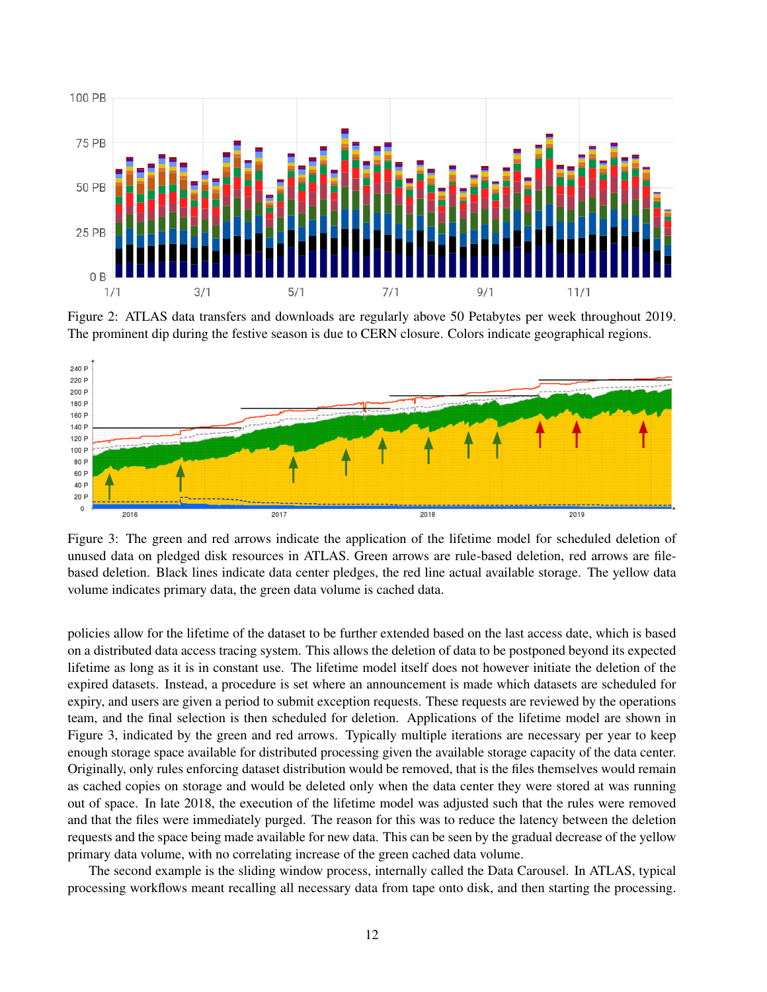

Figure 2: ATLAS data transfers and downloads are regularly above 50 Petabytes per week throughout 2019. The prominent dip during the festive season is due to CERN closure. Colors indicate geographical regions.



Figure 3: The green and red arrows indicate the application of the lifetime model for scheduled deletion of unused data on pledged disk resources in ATLAS. Green arrows are rule-based deletion, red arrows are filebased deletion. Black lines indicate data center pledges, the red line actual available storage. The yellow data volume indicates primary data, the green data volume is cached data.

policies allow for the lifetime of the dataset to be further extended based on the last access date, which is based on a distributed data access tracing system. This allows the deletion of data to be postponed beyond its expected lifetime as long as it is in constant use. The lifetime model itself does not however initiate the deletion of the expired datasets. Instead, a procedure is set where an announcement is made which datasets are scheduled for expiry, and users are given a period to submit exception requests. These requests are reviewed by the operations team, and the final selection is then scheduled for deletion. Applications of the lifetime model are shown in Figure 3, indicated by the green and red arrows. Typically multiple iterations are necessary per year to keep enough storage space available for distributed processing given the available storage capacity of the data center. Originally, only rules enforcing dataset distribution would be removed, that is the files themselves would remain as cached copies on storage and would be deleted only when the data center they were stored at was running out of space. In late 2018, the execution of the lifetime model was adjusted such that the rules were removed and that the files were immediately purged. The reason for this was to reduce the latency between the deletion requests and the space being made available for new data. This can be seen by the gradual decrease of the yellow primary data volume, with no correlating increase of the green cached data volume.

The second example is the sliding window process, internally called the Data Carousel. In ATLAS, typical processing workflows meant recalling all necessary data from tape onto disk, and then starting the processing.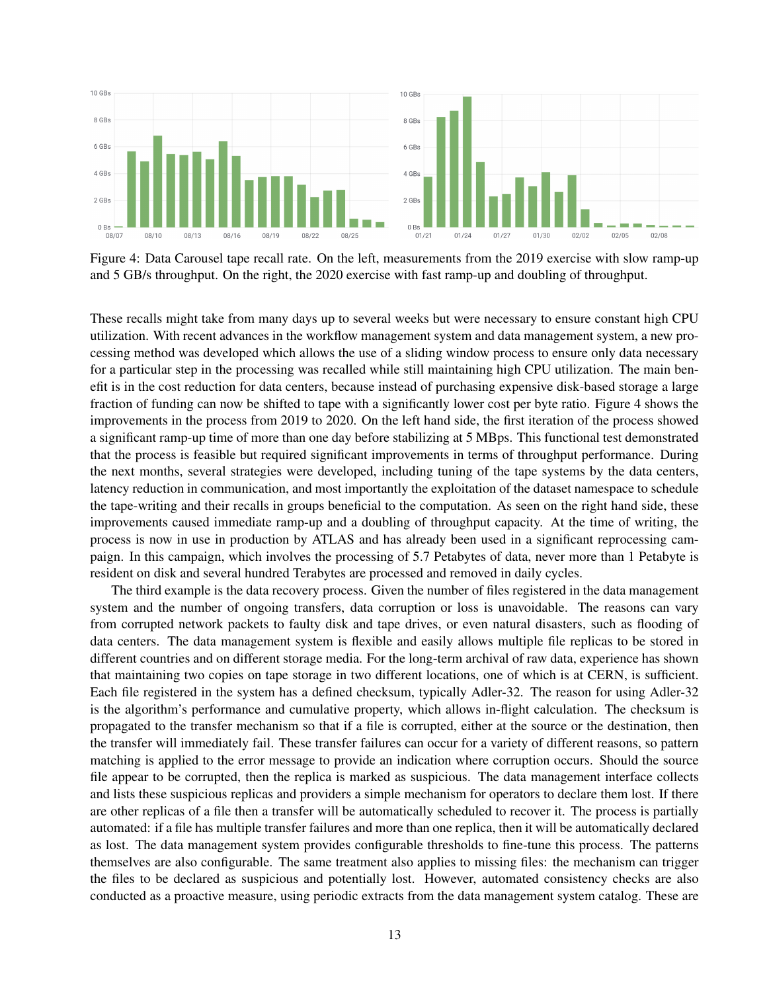

Figure 4: Data Carousel tape recall rate. On the left, measurements from the 2019 exercise with slow ramp-up and 5 GB/s throughput. On the right, the 2020 exercise with fast ramp-up and doubling of throughput.

These recalls might take from many days up to several weeks but were necessary to ensure constant high CPU utilization. With recent advances in the workflow management system and data management system, a new processing method was developed which allows the use of a sliding window process to ensure only data necessary for a particular step in the processing was recalled while still maintaining high CPU utilization. The main benefit is in the cost reduction for data centers, because instead of purchasing expensive disk-based storage a large fraction of funding can now be shifted to tape with a significantly lower cost per byte ratio. Figure 4 shows the improvements in the process from 2019 to 2020. On the left hand side, the first iteration of the process showed a significant ramp-up time of more than one day before stabilizing at 5 MBps. This functional test demonstrated that the process is feasible but required significant improvements in terms of throughput performance. During the next months, several strategies were developed, including tuning of the tape systems by the data centers, latency reduction in communication, and most importantly the exploitation of the dataset namespace to schedule the tape-writing and their recalls in groups beneficial to the computation. As seen on the right hand side, these improvements caused immediate ramp-up and a doubling of throughput capacity. At the time of writing, the process is now in use in production by ATLAS and has already been used in a significant reprocessing campaign. In this campaign, which involves the processing of 5.7 Petabytes of data, never more than 1 Petabyte is resident on disk and several hundred Terabytes are processed and removed in daily cycles.

The third example is the data recovery process. Given the number of files registered in the data management system and the number of ongoing transfers, data corruption or loss is unavoidable. The reasons can vary from corrupted network packets to faulty disk and tape drives, or even natural disasters, such as flooding of data centers. The data management system is flexible and easily allows multiple file replicas to be stored in different countries and on different storage media. For the long-term archival of raw data, experience has shown that maintaining two copies on tape storage in two different locations, one of which is at CERN, is sufficient. Each file registered in the system has a defined checksum, typically Adler-32. The reason for using Adler-32 is the algorithm's performance and cumulative property, which allows in-flight calculation. The checksum is propagated to the transfer mechanism so that if a file is corrupted, either at the source or the destination, then the transfer will immediately fail. These transfer failures can occur for a variety of different reasons, so pattern matching is applied to the error message to provide an indication where corruption occurs. Should the source file appear to be corrupted, then the replica is marked as suspicious. The data management interface collects and lists these suspicious replicas and providers a simple mechanism for operators to declare them lost. If there are other replicas of a file then a transfer will be automatically scheduled to recover it. The process is partially automated: if a file has multiple transfer failures and more than one replica, then it will be automatically declared as lost. The data management system provides configurable thresholds to fine-tune this process. The patterns themselves are also configurable. The same treatment also applies to missing files: the mechanism can trigger the files to be declared as suspicious and potentially lost. However, automated consistency checks are also conducted as a proactive measure, using periodic extracts from the data management system catalog. These are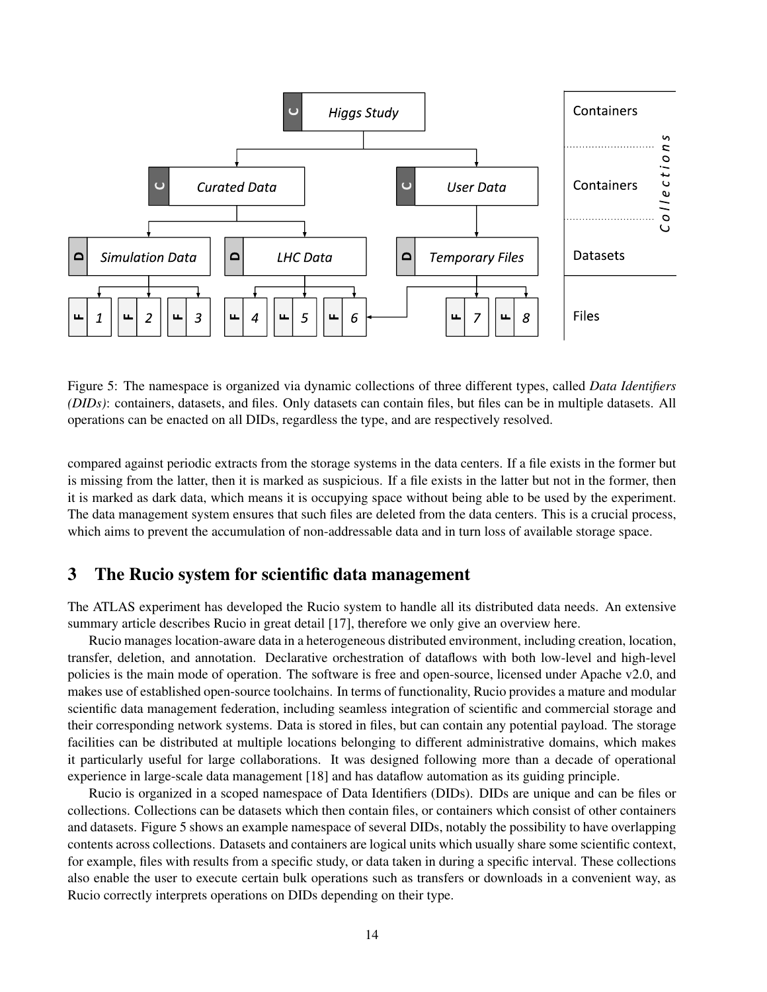

Figure 5: The namespace is organized via dynamic collections of three different types, called *Data Identifiers (DIDs)*: containers, datasets, and files. Only datasets can contain files, but files can be in multiple datasets. All operations can be enacted on all DIDs, regardless the type, and are respectively resolved.

compared against periodic extracts from the storage systems in the data centers. If a file exists in the former but is missing from the latter, then it is marked as suspicious. If a file exists in the latter but not in the former, then it is marked as dark data, which means it is occupying space without being able to be used by the experiment. The data management system ensures that such files are deleted from the data centers. This is a crucial process, which aims to prevent the accumulation of non-addressable data and in turn loss of available storage space.

## 3 The Rucio system for scientific data management

The ATLAS experiment has developed the Rucio system to handle all its distributed data needs. An extensive summary article describes Rucio in great detail [17], therefore we only give an overview here.

Rucio manages location-aware data in a heterogeneous distributed environment, including creation, location, transfer, deletion, and annotation. Declarative orchestration of dataflows with both low-level and high-level policies is the main mode of operation. The software is free and open-source, licensed under Apache v2.0, and makes use of established open-source toolchains. In terms of functionality, Rucio provides a mature and modular scientific data management federation, including seamless integration of scientific and commercial storage and their corresponding network systems. Data is stored in files, but can contain any potential payload. The storage facilities can be distributed at multiple locations belonging to different administrative domains, which makes it particularly useful for large collaborations. It was designed following more than a decade of operational experience in large-scale data management [18] and has dataflow automation as its guiding principle.

Rucio is organized in a scoped namespace of Data Identifiers (DIDs). DIDs are unique and can be files or collections. Collections can be datasets which then contain files, or containers which consist of other containers and datasets. Figure 5 shows an example namespace of several DIDs, notably the possibility to have overlapping contents across collections. Datasets and containers are logical units which usually share some scientific context, for example, files with results from a specific study, or data taken in during a specific interval. These collections also enable the user to execute certain bulk operations such as transfers or downloads in a convenient way, as Rucio correctly interprets operations on DIDs depending on their type.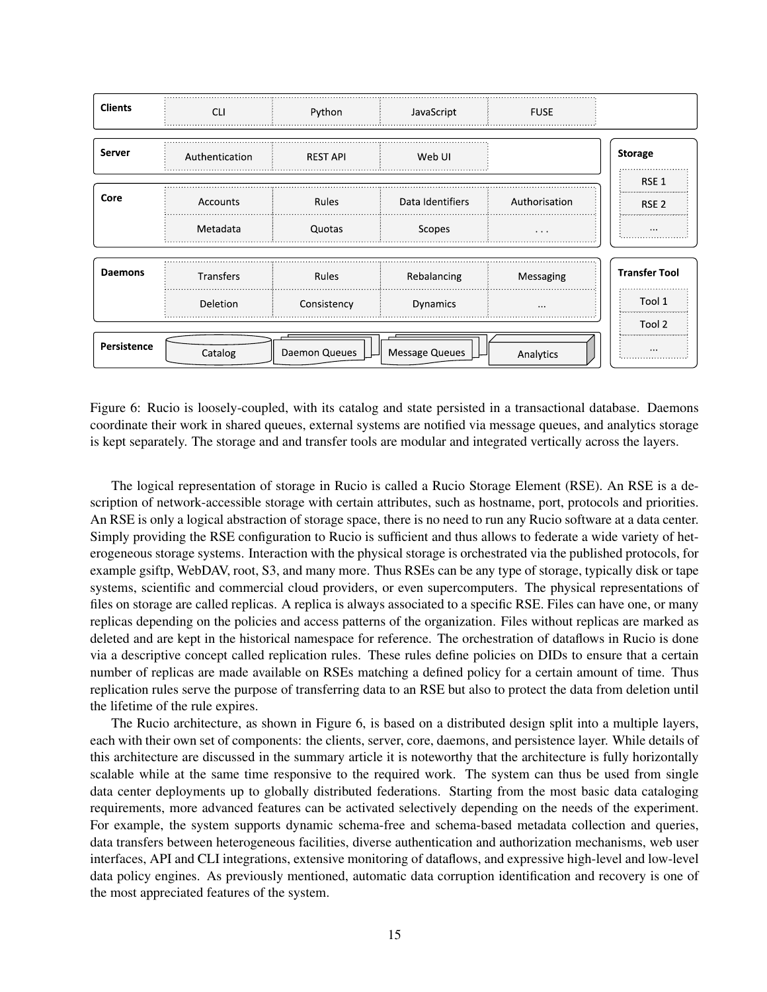| <b>Clients</b> | <b>CLI</b>      | Python        | JavaScript       | <b>FUSE</b>   |                      |
|----------------|-----------------|---------------|------------------|---------------|----------------------|
| Server         | Authentication  | REST API      | Web UI           |               | <b>Storage</b>       |
|                |                 |               |                  |               | RSE <sub>1</sub>     |
| Core           | Accounts        | Rules         | Data Identifiers | Authorisation | RSE <sub>2</sub>     |
|                | Metadata        | Quotas        | Scopes           | $\cdots$      |                      |
| <b>Daemons</b> | Transfers       | Rules         | Rebalancing      | Messaging     | <b>Transfer Tool</b> |
|                | <b>Deletion</b> | Consistency   | Dynamics         | 0.0.0         | Tool 1               |
|                |                 |               |                  |               | Tool 2               |
| Persistence    | Catalog         | Daemon Queues | Message Queues   | Analytics     | $\cdots$             |

Figure 6: Rucio is loosely-coupled, with its catalog and state persisted in a transactional database. Daemons coordinate their work in shared queues, external systems are notified via message queues, and analytics storage is kept separately. The storage and and transfer tools are modular and integrated vertically across the layers.

The logical representation of storage in Rucio is called a Rucio Storage Element (RSE). An RSE is a description of network-accessible storage with certain attributes, such as hostname, port, protocols and priorities. An RSE is only a logical abstraction of storage space, there is no need to run any Rucio software at a data center. Simply providing the RSE configuration to Rucio is sufficient and thus allows to federate a wide variety of heterogeneous storage systems. Interaction with the physical storage is orchestrated via the published protocols, for example gsiftp, WebDAV, root, S3, and many more. Thus RSEs can be any type of storage, typically disk or tape systems, scientific and commercial cloud providers, or even supercomputers. The physical representations of files on storage are called replicas. A replica is always associated to a specific RSE. Files can have one, or many replicas depending on the policies and access patterns of the organization. Files without replicas are marked as deleted and are kept in the historical namespace for reference. The orchestration of dataflows in Rucio is done via a descriptive concept called replication rules. These rules define policies on DIDs to ensure that a certain number of replicas are made available on RSEs matching a defined policy for a certain amount of time. Thus replication rules serve the purpose of transferring data to an RSE but also to protect the data from deletion until the lifetime of the rule expires.

The Rucio architecture, as shown in Figure 6, is based on a distributed design split into a multiple layers, each with their own set of components: the clients, server, core, daemons, and persistence layer. While details of this architecture are discussed in the summary article it is noteworthy that the architecture is fully horizontally scalable while at the same time responsive to the required work. The system can thus be used from single data center deployments up to globally distributed federations. Starting from the most basic data cataloging requirements, more advanced features can be activated selectively depending on the needs of the experiment. For example, the system supports dynamic schema-free and schema-based metadata collection and queries, data transfers between heterogeneous facilities, diverse authentication and authorization mechanisms, web user interfaces, API and CLI integrations, extensive monitoring of dataflows, and expressive high-level and low-level data policy engines. As previously mentioned, automatic data corruption identification and recovery is one of the most appreciated features of the system.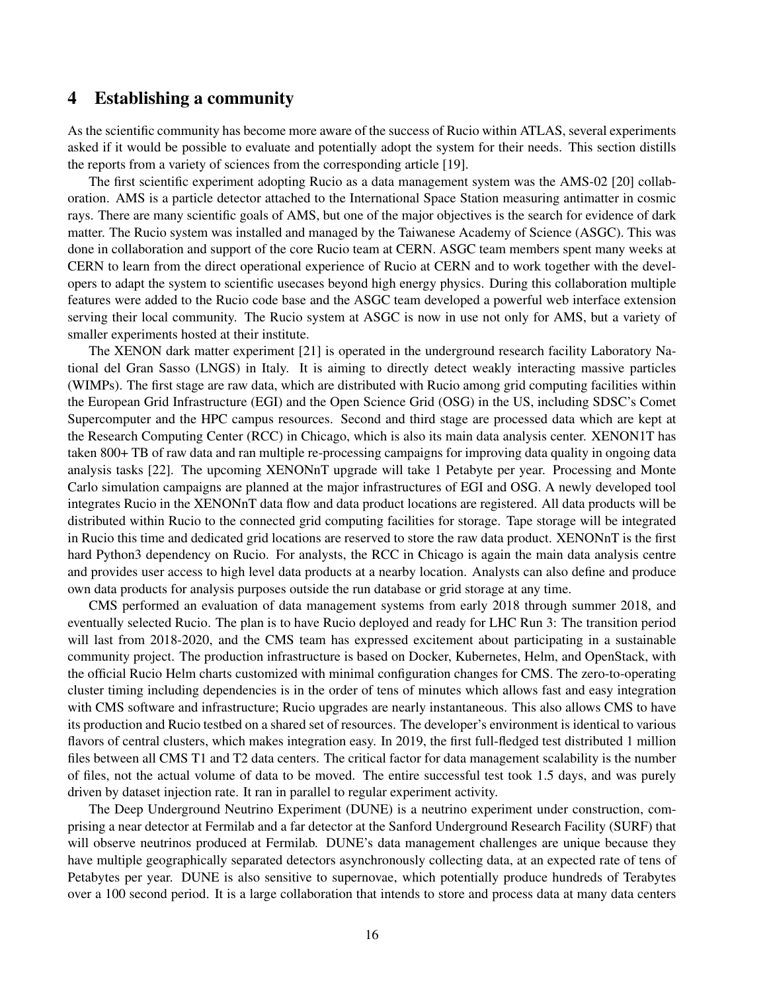#### 4 Establishing a community

As the scientific community has become more aware of the success of Rucio within ATLAS, several experiments asked if it would be possible to evaluate and potentially adopt the system for their needs. This section distills the reports from a variety of sciences from the corresponding article [19].

The first scientific experiment adopting Rucio as a data management system was the AMS-02 [20] collaboration. AMS is a particle detector attached to the International Space Station measuring antimatter in cosmic rays. There are many scientific goals of AMS, but one of the major objectives is the search for evidence of dark matter. The Rucio system was installed and managed by the Taiwanese Academy of Science (ASGC). This was done in collaboration and support of the core Rucio team at CERN. ASGC team members spent many weeks at CERN to learn from the direct operational experience of Rucio at CERN and to work together with the developers to adapt the system to scientific usecases beyond high energy physics. During this collaboration multiple features were added to the Rucio code base and the ASGC team developed a powerful web interface extension serving their local community. The Rucio system at ASGC is now in use not only for AMS, but a variety of smaller experiments hosted at their institute.

The XENON dark matter experiment [21] is operated in the underground research facility Laboratory National del Gran Sasso (LNGS) in Italy. It is aiming to directly detect weakly interacting massive particles (WIMPs). The first stage are raw data, which are distributed with Rucio among grid computing facilities within the European Grid Infrastructure (EGI) and the Open Science Grid (OSG) in the US, including SDSC's Comet Supercomputer and the HPC campus resources. Second and third stage are processed data which are kept at the Research Computing Center (RCC) in Chicago, which is also its main data analysis center. XENON1T has taken 800+ TB of raw data and ran multiple re-processing campaigns for improving data quality in ongoing data analysis tasks [22]. The upcoming XENONnT upgrade will take 1 Petabyte per year. Processing and Monte Carlo simulation campaigns are planned at the major infrastructures of EGI and OSG. A newly developed tool integrates Rucio in the XENONnT data flow and data product locations are registered. All data products will be distributed within Rucio to the connected grid computing facilities for storage. Tape storage will be integrated in Rucio this time and dedicated grid locations are reserved to store the raw data product. XENONnT is the first hard Python3 dependency on Rucio. For analysts, the RCC in Chicago is again the main data analysis centre and provides user access to high level data products at a nearby location. Analysts can also define and produce own data products for analysis purposes outside the run database or grid storage at any time.

CMS performed an evaluation of data management systems from early 2018 through summer 2018, and eventually selected Rucio. The plan is to have Rucio deployed and ready for LHC Run 3: The transition period will last from 2018-2020, and the CMS team has expressed excitement about participating in a sustainable community project. The production infrastructure is based on Docker, Kubernetes, Helm, and OpenStack, with the official Rucio Helm charts customized with minimal configuration changes for CMS. The zero-to-operating cluster timing including dependencies is in the order of tens of minutes which allows fast and easy integration with CMS software and infrastructure; Rucio upgrades are nearly instantaneous. This also allows CMS to have its production and Rucio testbed on a shared set of resources. The developer's environment is identical to various flavors of central clusters, which makes integration easy. In 2019, the first full-fledged test distributed 1 million files between all CMS T1 and T2 data centers. The critical factor for data management scalability is the number of files, not the actual volume of data to be moved. The entire successful test took 1.5 days, and was purely driven by dataset injection rate. It ran in parallel to regular experiment activity.

The Deep Underground Neutrino Experiment (DUNE) is a neutrino experiment under construction, comprising a near detector at Fermilab and a far detector at the Sanford Underground Research Facility (SURF) that will observe neutrinos produced at Fermilab. DUNE's data management challenges are unique because they have multiple geographically separated detectors asynchronously collecting data, at an expected rate of tens of Petabytes per year. DUNE is also sensitive to supernovae, which potentially produce hundreds of Terabytes over a 100 second period. It is a large collaboration that intends to store and process data at many data centers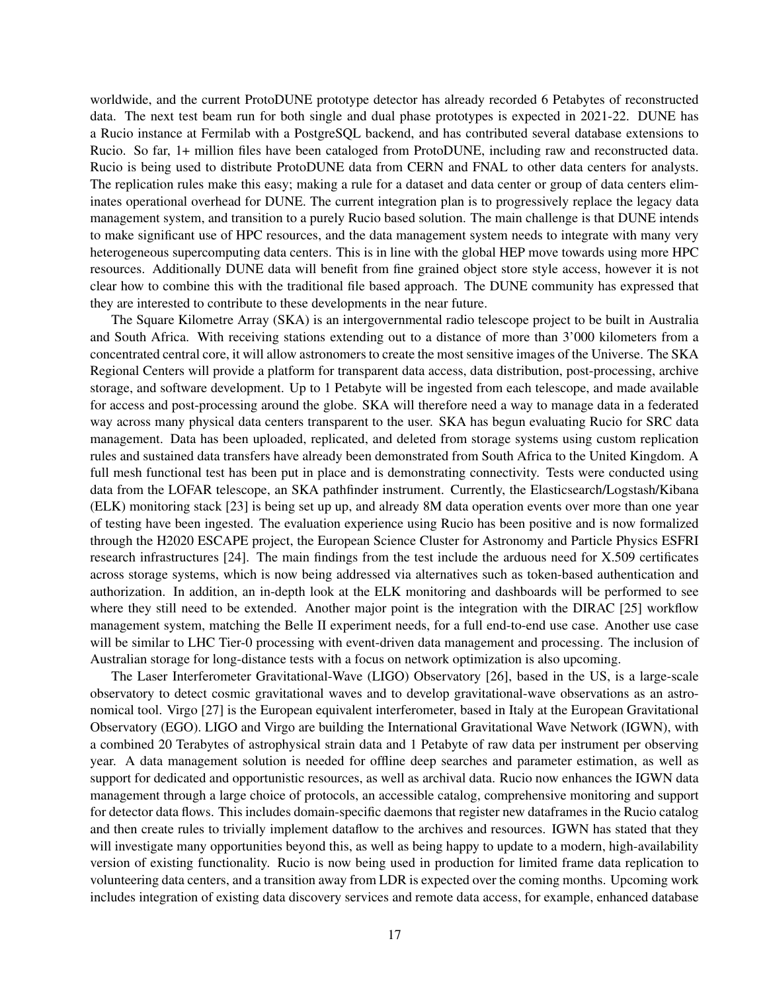worldwide, and the current ProtoDUNE prototype detector has already recorded 6 Petabytes of reconstructed data. The next test beam run for both single and dual phase prototypes is expected in 2021-22. DUNE has a Rucio instance at Fermilab with a PostgreSQL backend, and has contributed several database extensions to Rucio. So far, 1+ million files have been cataloged from ProtoDUNE, including raw and reconstructed data. Rucio is being used to distribute ProtoDUNE data from CERN and FNAL to other data centers for analysts. The replication rules make this easy; making a rule for a dataset and data center or group of data centers eliminates operational overhead for DUNE. The current integration plan is to progressively replace the legacy data management system, and transition to a purely Rucio based solution. The main challenge is that DUNE intends to make significant use of HPC resources, and the data management system needs to integrate with many very heterogeneous supercomputing data centers. This is in line with the global HEP move towards using more HPC resources. Additionally DUNE data will benefit from fine grained object store style access, however it is not clear how to combine this with the traditional file based approach. The DUNE community has expressed that they are interested to contribute to these developments in the near future.

The Square Kilometre Array (SKA) is an intergovernmental radio telescope project to be built in Australia and South Africa. With receiving stations extending out to a distance of more than 3'000 kilometers from a concentrated central core, it will allow astronomers to create the most sensitive images of the Universe. The SKA Regional Centers will provide a platform for transparent data access, data distribution, post-processing, archive storage, and software development. Up to 1 Petabyte will be ingested from each telescope, and made available for access and post-processing around the globe. SKA will therefore need a way to manage data in a federated way across many physical data centers transparent to the user. SKA has begun evaluating Rucio for SRC data management. Data has been uploaded, replicated, and deleted from storage systems using custom replication rules and sustained data transfers have already been demonstrated from South Africa to the United Kingdom. A full mesh functional test has been put in place and is demonstrating connectivity. Tests were conducted using data from the LOFAR telescope, an SKA pathfinder instrument. Currently, the Elasticsearch/Logstash/Kibana (ELK) monitoring stack [23] is being set up up, and already 8M data operation events over more than one year of testing have been ingested. The evaluation experience using Rucio has been positive and is now formalized through the H2020 ESCAPE project, the European Science Cluster for Astronomy and Particle Physics ESFRI research infrastructures [24]. The main findings from the test include the arduous need for X.509 certificates across storage systems, which is now being addressed via alternatives such as token-based authentication and authorization. In addition, an in-depth look at the ELK monitoring and dashboards will be performed to see where they still need to be extended. Another major point is the integration with the DIRAC [25] workflow management system, matching the Belle II experiment needs, for a full end-to-end use case. Another use case will be similar to LHC Tier-0 processing with event-driven data management and processing. The inclusion of Australian storage for long-distance tests with a focus on network optimization is also upcoming.

The Laser Interferometer Gravitational-Wave (LIGO) Observatory [26], based in the US, is a large-scale observatory to detect cosmic gravitational waves and to develop gravitational-wave observations as an astronomical tool. Virgo [27] is the European equivalent interferometer, based in Italy at the European Gravitational Observatory (EGO). LIGO and Virgo are building the International Gravitational Wave Network (IGWN), with a combined 20 Terabytes of astrophysical strain data and 1 Petabyte of raw data per instrument per observing year. A data management solution is needed for offline deep searches and parameter estimation, as well as support for dedicated and opportunistic resources, as well as archival data. Rucio now enhances the IGWN data management through a large choice of protocols, an accessible catalog, comprehensive monitoring and support for detector data flows. This includes domain-specific daemons that register new dataframes in the Rucio catalog and then create rules to trivially implement dataflow to the archives and resources. IGWN has stated that they will investigate many opportunities beyond this, as well as being happy to update to a modern, high-availability version of existing functionality. Rucio is now being used in production for limited frame data replication to volunteering data centers, and a transition away from LDR is expected over the coming months. Upcoming work includes integration of existing data discovery services and remote data access, for example, enhanced database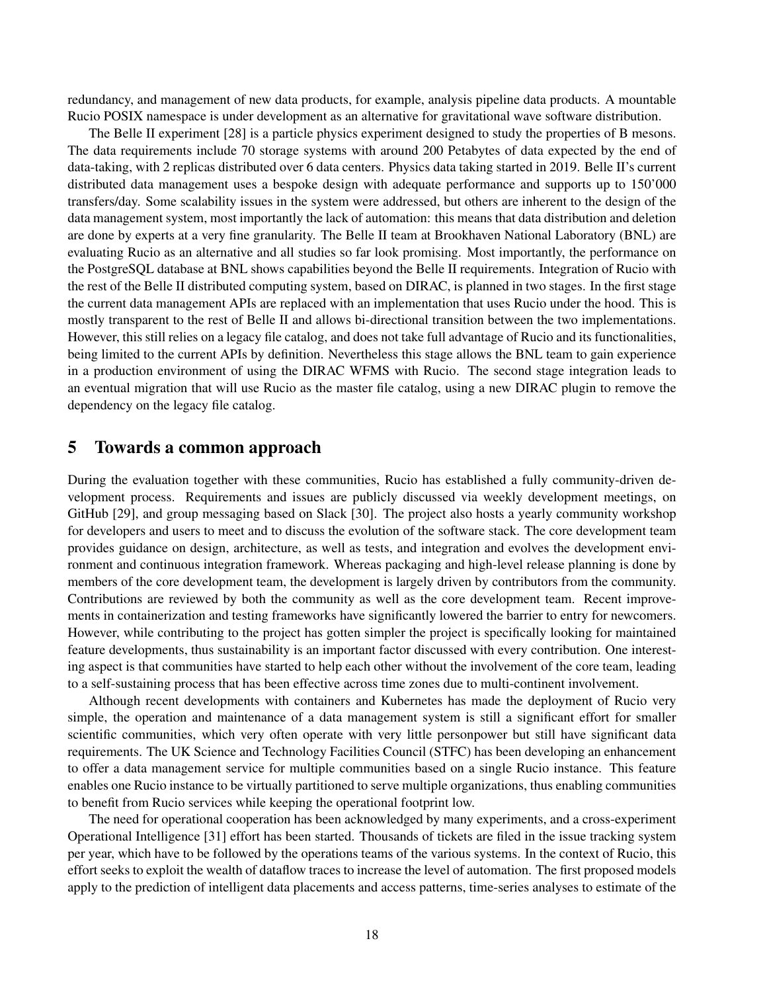redundancy, and management of new data products, for example, analysis pipeline data products. A mountable Rucio POSIX namespace is under development as an alternative for gravitational wave software distribution.

The Belle II experiment [28] is a particle physics experiment designed to study the properties of B mesons. The data requirements include 70 storage systems with around 200 Petabytes of data expected by the end of data-taking, with 2 replicas distributed over 6 data centers. Physics data taking started in 2019. Belle II's current distributed data management uses a bespoke design with adequate performance and supports up to 150'000 transfers/day. Some scalability issues in the system were addressed, but others are inherent to the design of the data management system, most importantly the lack of automation: this means that data distribution and deletion are done by experts at a very fine granularity. The Belle II team at Brookhaven National Laboratory (BNL) are evaluating Rucio as an alternative and all studies so far look promising. Most importantly, the performance on the PostgreSQL database at BNL shows capabilities beyond the Belle II requirements. Integration of Rucio with the rest of the Belle II distributed computing system, based on DIRAC, is planned in two stages. In the first stage the current data management APIs are replaced with an implementation that uses Rucio under the hood. This is mostly transparent to the rest of Belle II and allows bi-directional transition between the two implementations. However, this still relies on a legacy file catalog, and does not take full advantage of Rucio and its functionalities, being limited to the current APIs by definition. Nevertheless this stage allows the BNL team to gain experience in a production environment of using the DIRAC WFMS with Rucio. The second stage integration leads to an eventual migration that will use Rucio as the master file catalog, using a new DIRAC plugin to remove the dependency on the legacy file catalog.

#### 5 Towards a common approach

During the evaluation together with these communities, Rucio has established a fully community-driven development process. Requirements and issues are publicly discussed via weekly development meetings, on GitHub [29], and group messaging based on Slack [30]. The project also hosts a yearly community workshop for developers and users to meet and to discuss the evolution of the software stack. The core development team provides guidance on design, architecture, as well as tests, and integration and evolves the development environment and continuous integration framework. Whereas packaging and high-level release planning is done by members of the core development team, the development is largely driven by contributors from the community. Contributions are reviewed by both the community as well as the core development team. Recent improvements in containerization and testing frameworks have significantly lowered the barrier to entry for newcomers. However, while contributing to the project has gotten simpler the project is specifically looking for maintained feature developments, thus sustainability is an important factor discussed with every contribution. One interesting aspect is that communities have started to help each other without the involvement of the core team, leading to a self-sustaining process that has been effective across time zones due to multi-continent involvement.

Although recent developments with containers and Kubernetes has made the deployment of Rucio very simple, the operation and maintenance of a data management system is still a significant effort for smaller scientific communities, which very often operate with very little personpower but still have significant data requirements. The UK Science and Technology Facilities Council (STFC) has been developing an enhancement to offer a data management service for multiple communities based on a single Rucio instance. This feature enables one Rucio instance to be virtually partitioned to serve multiple organizations, thus enabling communities to benefit from Rucio services while keeping the operational footprint low.

The need for operational cooperation has been acknowledged by many experiments, and a cross-experiment Operational Intelligence [31] effort has been started. Thousands of tickets are filed in the issue tracking system per year, which have to be followed by the operations teams of the various systems. In the context of Rucio, this effort seeks to exploit the wealth of dataflow traces to increase the level of automation. The first proposed models apply to the prediction of intelligent data placements and access patterns, time-series analyses to estimate of the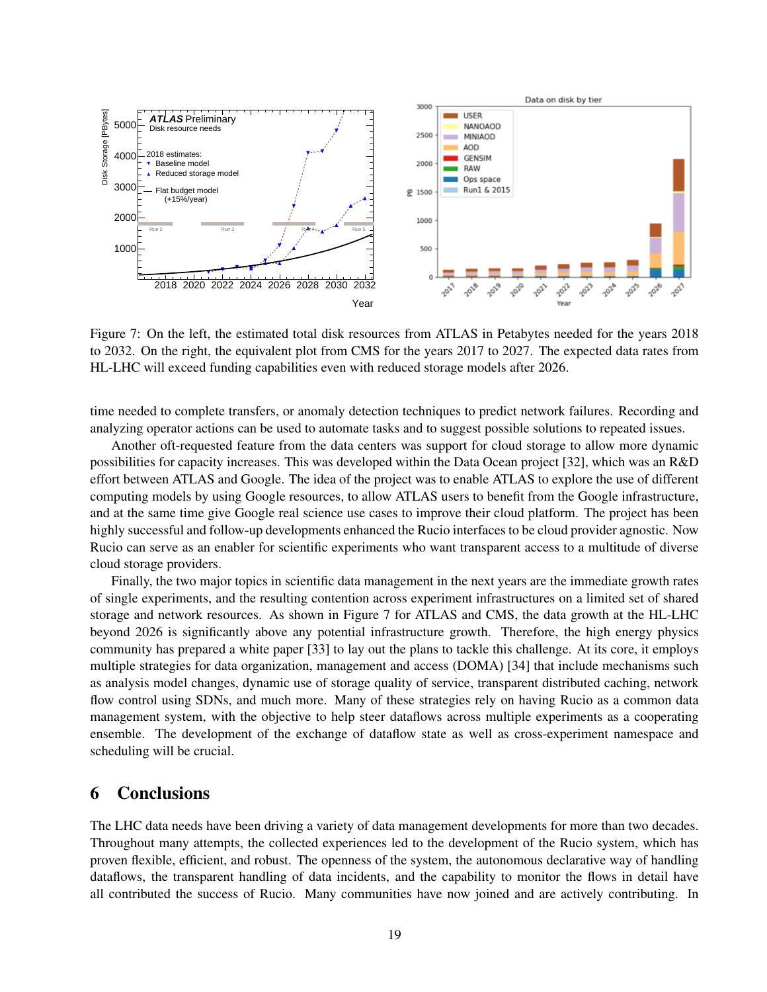

Figure 7: On the left, the estimated total disk resources from ATLAS in Petabytes needed for the years 2018 to 2032. On the right, the equivalent plot from CMS for the years 2017 to 2027. The expected data rates from HL-LHC will exceed funding capabilities even with reduced storage models after 2026.

time needed to complete transfers, or anomaly detection techniques to predict network failures. Recording and analyzing operator actions can be used to automate tasks and to suggest possible solutions to repeated issues.

Another oft-requested feature from the data centers was support for cloud storage to allow more dynamic possibilities for capacity increases. This was developed within the Data Ocean project [32], which was an R&D effort between ATLAS and Google. The idea of the project was to enable ATLAS to explore the use of different computing models by using Google resources, to allow ATLAS users to benefit from the Google infrastructure, and at the same time give Google real science use cases to improve their cloud platform. The project has been highly successful and follow-up developments enhanced the Rucio interfaces to be cloud provider agnostic. Now Rucio can serve as an enabler for scientific experiments who want transparent access to a multitude of diverse cloud storage providers.

Finally, the two major topics in scientific data management in the next years are the immediate growth rates of single experiments, and the resulting contention across experiment infrastructures on a limited set of shared storage and network resources. As shown in Figure 7 for ATLAS and CMS, the data growth at the HL-LHC beyond 2026 is significantly above any potential infrastructure growth. Therefore, the high energy physics community has prepared a white paper [33] to lay out the plans to tackle this challenge. At its core, it employs multiple strategies for data organization, management and access (DOMA) [34] that include mechanisms such as analysis model changes, dynamic use of storage quality of service, transparent distributed caching, network flow control using SDNs, and much more. Many of these strategies rely on having Rucio as a common data management system, with the objective to help steer dataflows across multiple experiments as a cooperating ensemble. The development of the exchange of dataflow state as well as cross-experiment namespace and scheduling will be crucial.

### 6 Conclusions

The LHC data needs have been driving a variety of data management developments for more than two decades. Throughout many attempts, the collected experiences led to the development of the Rucio system, which has proven flexible, efficient, and robust. The openness of the system, the autonomous declarative way of handling dataflows, the transparent handling of data incidents, and the capability to monitor the flows in detail have all contributed the success of Rucio. Many communities have now joined and are actively contributing. In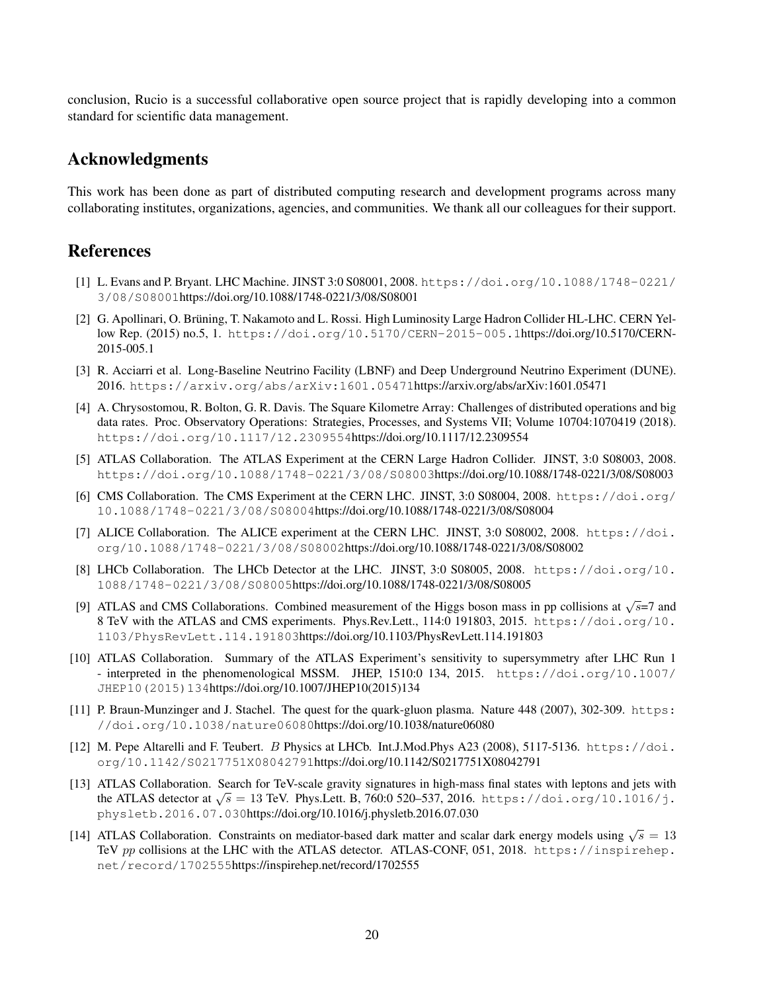conclusion, Rucio is a successful collaborative open source project that is rapidly developing into a common standard for scientific data management.

#### Acknowledgments

This work has been done as part of distributed computing research and development programs across many collaborating institutes, organizations, agencies, and communities. We thank all our colleagues for their support.

## References

- [1] L. Evans and P. Bryant. LHC Machine. JINST 3:0 S08001, 2008. https://doi.org/10.1088/1748-0221/ 3/08/S08001https://doi.org/10.1088/1748-0221/3/08/S08001
- [2] G. Apollinari, O. Brüning, T. Nakamoto and L. Rossi. High Luminosity Large Hadron Collider HL-LHC. CERN Yellow Rep. (2015) no.5, 1. https://doi.org/10.5170/CERN-2015-005.1https://doi.org/10.5170/CERN-2015-005.1
- [3] R. Acciarri et al. Long-Baseline Neutrino Facility (LBNF) and Deep Underground Neutrino Experiment (DUNE). 2016. https://arxiv.org/abs/arXiv:1601.05471https://arxiv.org/abs/arXiv:1601.05471
- [4] A. Chrysostomou, R. Bolton, G. R. Davis. The Square Kilometre Array: Challenges of distributed operations and big data rates. Proc. Observatory Operations: Strategies, Processes, and Systems VII; Volume 10704:1070419 (2018). https://doi.org/10.1117/12.2309554https://doi.org/10.1117/12.2309554
- [5] ATLAS Collaboration. The ATLAS Experiment at the CERN Large Hadron Collider. JINST, 3:0 S08003, 2008. https://doi.org/10.1088/1748-0221/3/08/S08003https://doi.org/10.1088/1748-0221/3/08/S08003
- [6] CMS Collaboration. The CMS Experiment at the CERN LHC. JINST, 3:0 S08004, 2008. https://doi.org/ 10.1088/1748-0221/3/08/S08004https://doi.org/10.1088/1748-0221/3/08/S08004
- [7] ALICE Collaboration. The ALICE experiment at the CERN LHC. JINST, 3:0 S08002, 2008. https://doi. org/10.1088/1748-0221/3/08/S08002https://doi.org/10.1088/1748-0221/3/08/S08002
- [8] LHCb Collaboration. The LHCb Detector at the LHC. JINST, 3:0 S08005, 2008. https://doi.org/10. 1088/1748-0221/3/08/S08005https://doi.org/10.1088/1748-0221/3/08/S08005
- [9] ATLAS and CMS Collaborations. Combined measurement of the Higgs boson mass in pp collisions at  $\sqrt{s}$ =7 and 8 TeV with the ATLAS and CMS experiments. Phys.Rev.Lett., 114:0 191803, 2015. https://doi.org/10. 1103/PhysRevLett.114.191803https://doi.org/10.1103/PhysRevLett.114.191803
- [10] ATLAS Collaboration. Summary of the ATLAS Experiment's sensitivity to supersymmetry after LHC Run 1 - interpreted in the phenomenological MSSM. JHEP, 1510:0 134, 2015. https://doi.org/10.1007/ JHEP10(2015)134https://doi.org/10.1007/JHEP10(2015)134
- [11] P. Braun-Munzinger and J. Stachel. The quest for the quark-gluon plasma. Nature 448 (2007), 302-309. https: //doi.org/10.1038/nature06080https://doi.org/10.1038/nature06080
- [12] M. Pepe Altarelli and F. Teubert. B Physics at LHCb. Int.J.Mod.Phys A23 (2008), 5117-5136. https://doi. org/10.1142/S0217751X08042791https://doi.org/10.1142/S0217751X08042791
- [13] ATLAS Collaboration. Search for TeV-scale gravity signatures in high-mass final states with leptons and jets with ATLAS CONADOTATION. Search for the v-scale gravity signatures in ligh-mass miar states with reptons and jets with the ATLAS detector at  $\sqrt{s} = 13$  TeV. Phys.Lett. B, 760:0 520–537, 2016. https://doi.org/10.1016/j. physletb.2016.07.030https://doi.org/10.1016/j.physletb.2016.07.030
- [14] ATLAS Collaboration. Constraints on mediator-based dark matter and scalar dark energy models using  $\sqrt{s} = 13$ TeV pp collisions at the LHC with the ATLAS detector. ATLAS-CONF, 051, 2018. https://inspirehep. net/record/1702555https://inspirehep.net/record/1702555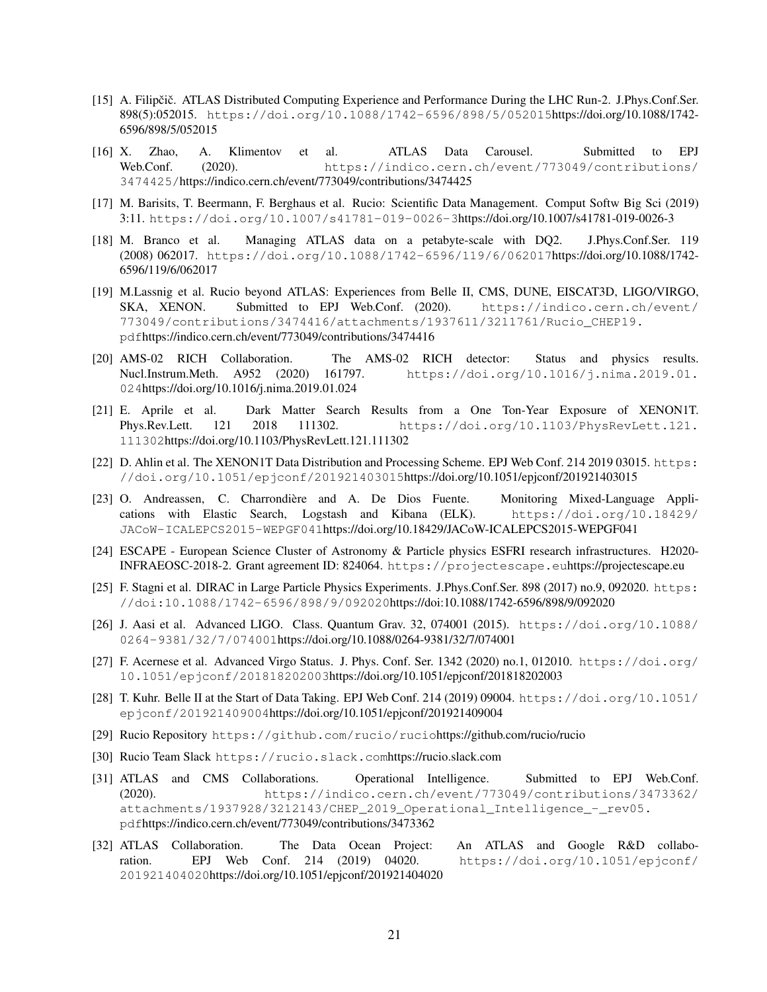- [15] A. Filipčič. ATLAS Distributed Computing Experience and Performance During the LHC Run-2. J.Phys.Conf.Ser. 898(5):052015. https://doi.org/10.1088/1742-6596/898/5/052015https://doi.org/10.1088/1742- 6596/898/5/052015
- [16] X. Zhao, A. Klimentov et al. ATLAS Data Carousel. Submitted to EPJ Web.Conf. (2020). https://indico.cern.ch/event/773049/contributions/ 3474425/https://indico.cern.ch/event/773049/contributions/3474425
- [17] M. Barisits, T. Beermann, F. Berghaus et al. Rucio: Scientific Data Management. Comput Softw Big Sci (2019) 3:11. https://doi.org/10.1007/s41781-019-0026-3https://doi.org/10.1007/s41781-019-0026-3
- [18] M. Branco et al. Managing ATLAS data on a petabyte-scale with DQ2. J.Phys.Conf.Ser. 119 (2008) 062017. https://doi.org/10.1088/1742-6596/119/6/062017https://doi.org/10.1088/1742- 6596/119/6/062017
- [19] M.Lassnig et al. Rucio beyond ATLAS: Experiences from Belle II, CMS, DUNE, EISCAT3D, LIGO/VIRGO, SKA, XENON. Submitted to EPJ Web.Conf. (2020). https://indico.cern.ch/event/ 773049/contributions/3474416/attachments/1937611/3211761/Rucio\_CHEP19. pdfhttps://indico.cern.ch/event/773049/contributions/3474416
- [20] AMS-02 RICH Collaboration. The AMS-02 RICH detector: Status and physics results. Nucl.Instrum.Meth. A952 (2020) 161797. https://doi.org/10.1016/j.nima.2019.01. 024https://doi.org/10.1016/j.nima.2019.01.024
- [21] E. Aprile et al. Dark Matter Search Results from a One Ton-Year Exposure of XENON1T. Phys.Rev.Lett. 121 2018 111302. https://doi.org/10.1103/PhysRevLett.121. 111302https://doi.org/10.1103/PhysRevLett.121.111302
- [22] D. Ahlin et al. The XENON1T Data Distribution and Processing Scheme. EPJ Web Conf. 214 2019 03015. https: //doi.org/10.1051/epjconf/201921403015https://doi.org/10.1051/epjconf/201921403015
- [23] O. Andreassen, C. Charrondière and A. De Dios Fuente. Monitoring Mixed-Language Applications with Elastic Search, Logstash and Kibana (ELK). https://doi.org/10.18429/ JACoW-ICALEPCS2015-WEPGF041https://doi.org/10.18429/JACoW-ICALEPCS2015-WEPGF041
- [24] ESCAPE European Science Cluster of Astronomy & Particle physics ESFRI research infrastructures. H2020- INFRAEOSC-2018-2. Grant agreement ID: 824064. https://projectescape.euhttps://projectescape.eu
- [25] F. Stagni et al. DIRAC in Large Particle Physics Experiments. J.Phys.Conf.Ser. 898 (2017) no.9, 092020. https: //doi:10.1088/1742-6596/898/9/092020https://doi:10.1088/1742-6596/898/9/092020
- [26] J. Aasi et al. Advanced LIGO. Class. Quantum Grav. 32, 074001 (2015). https://doi.org/10.1088/ 0264-9381/32/7/074001https://doi.org/10.1088/0264-9381/32/7/074001
- [27] F. Acernese et al. Advanced Virgo Status. J. Phys. Conf. Ser. 1342 (2020) no.1, 012010. https://doi.org/ 10.1051/epjconf/201818202003https://doi.org/10.1051/epjconf/201818202003
- [28] T. Kuhr. Belle II at the Start of Data Taking. EPJ Web Conf. 214 (2019) 09004. https://doi.org/10.1051/ epjconf/201921409004https://doi.org/10.1051/epjconf/201921409004
- [29] Rucio Repository https://github.com/rucio/ruciohttps://github.com/rucio/rucio
- [30] Rucio Team Slack https://rucio.slack.comhttps://rucio.slack.com
- [31] ATLAS and CMS Collaborations. Operational Intelligence. Submitted to EPJ Web.Conf. (2020). https://indico.cern.ch/event/773049/contributions/3473362/ attachments/1937928/3212143/CHEP\_2019\_Operational\_Intelligence\_-\_rev05. pdfhttps://indico.cern.ch/event/773049/contributions/3473362
- [32] ATLAS Collaboration. The Data Ocean Project: An ATLAS and Google R&D collaboration. EPJ Web Conf. 214 (2019) 04020. https://doi.org/10.1051/epjconf/ 201921404020https://doi.org/10.1051/epjconf/201921404020